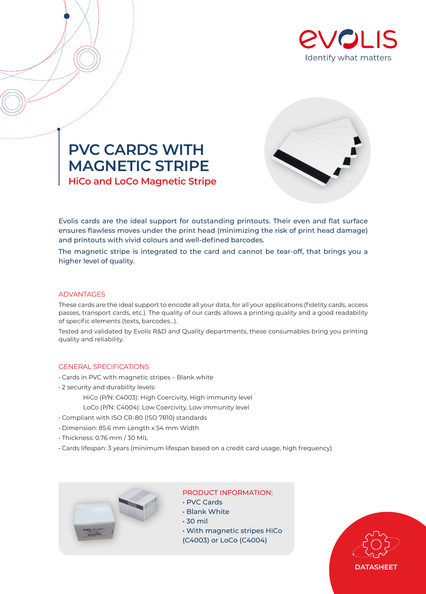





Evolis cards are the ideal support for outstanding printouts. Their even and flat surface ensures flawless moves under the print head (minimizing the risk of print head damage) and printouts with vivid colours and well-defined barcodes.

The magnetic stripe is integrated to the card and cannot be tear-off, that brings you a higher level of quality.

## ADVANTAGES

These cards are the ideal support to encode all your data, for all your applications (fidelity cards, access passes, transport cards, etc.). The quality of our cards allows a printing quality and a good readability of specific elements (texts, barcodes…).

Tested and validated by Evolis R&D and Quality departments, these consumables bring you printing quality and reliability.

## GENERAL SPECIFICATIONS

- Cards in PVC with magnetic stripes Blank white
- 2 security and durability levels:
	- HiCo (P/N: C4003): High Coercivity, High immunity level
	- LoCo (P/N: C4004): Low Coercivity, Low immunity level
- Compliant with ISO CR-80 (ISO 7810) standards
- Dimension: 85.6 mm Length x 54 mm Width
- Thickness: 0.76 mm / 30 MIL
- Cards lifespan: 3 years (minimum lifespan based on a credit card usage, high frequency)



## PRODUCT INFORMATION:

- PVC Cards
- Blank White
- 30 mil
- With magnetic stripes HiCo
- (C4003) or LoCo (C4004)